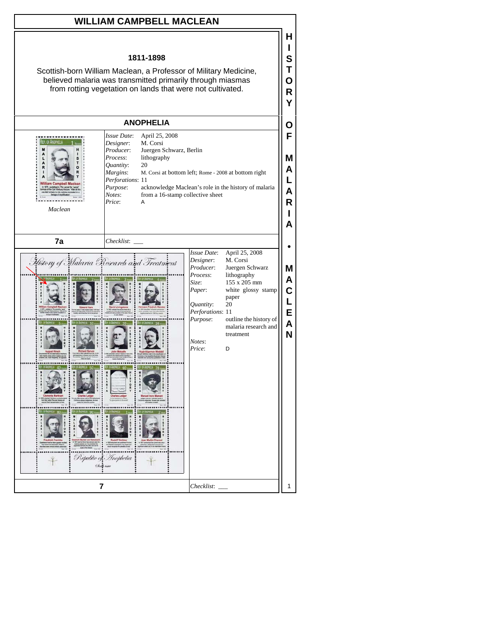